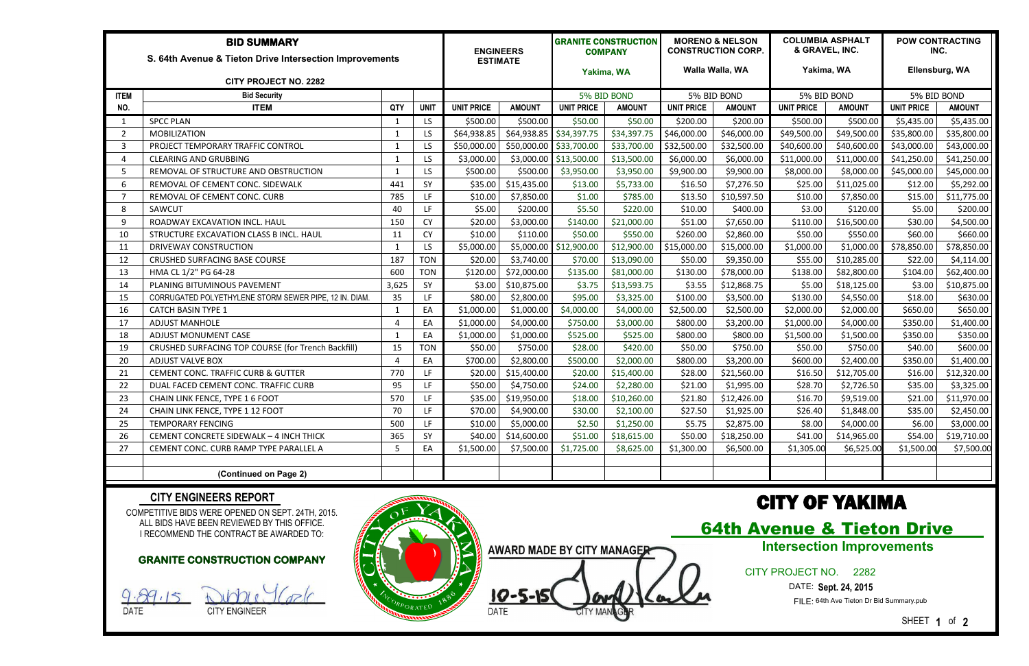| <b>BID SUMMARY</b>                                      |                                                        |              |             |                   | <b>ENGINEERS</b><br><b>ESTIMATE</b> |                        | <b>GRANITE CONSTRUCTION</b><br><b>COMPANY</b><br>Yakima, WA |                   | <b>MORENO &amp; NELSON</b><br><b>CONSTRUCTION CORP.</b><br>Walla Walla, WA |                   | <b>COLUMBIA ASPHALT</b><br>& GRAVEL, INC.<br>Yakima, WA |                   | <b>POW CONTRACTING</b><br>INC.<br>Ellensburg, WA |  |
|---------------------------------------------------------|--------------------------------------------------------|--------------|-------------|-------------------|-------------------------------------|------------------------|-------------------------------------------------------------|-------------------|----------------------------------------------------------------------------|-------------------|---------------------------------------------------------|-------------------|--------------------------------------------------|--|
| S. 64th Avenue & Tieton Drive Intersection Improvements |                                                        |              |             |                   |                                     |                        |                                                             |                   |                                                                            |                   |                                                         |                   |                                                  |  |
| <b>CITY PROJECT NO. 2282</b>                            |                                                        |              |             |                   |                                     |                        |                                                             |                   |                                                                            |                   |                                                         |                   |                                                  |  |
| <b>ITEM</b>                                             | <b>Bid Security</b>                                    |              |             |                   |                                     | 5% BID BOND            |                                                             | 5% BID BOND       |                                                                            | 5% BID BOND       |                                                         | 5% BID BOND       |                                                  |  |
| NO.                                                     | <b>ITEM</b>                                            | QTY          | <b>UNIT</b> | <b>UNIT PRICE</b> | <b>AMOUNT</b>                       | <b>UNIT PRICE</b>      | <b>AMOUNT</b>                                               | <b>UNIT PRICE</b> | <b>AMOUNT</b>                                                              | <b>UNIT PRICE</b> | <b>AMOUNT</b>                                           | <b>UNIT PRICE</b> | <b>AMOUNT</b>                                    |  |
|                                                         | <b>SPCC PLAN</b>                                       |              | LS          | \$500.00          | \$500.00                            | \$50.00                | \$50.00                                                     | \$200.00          | \$200.00                                                                   | \$500.00          | \$500.00                                                | \$5,435.00        | \$5,435.00                                       |  |
| $\overline{2}$                                          | <b>MOBILIZATION</b>                                    | -1           | LS          | \$64,938.85       | \$64,938.85                         | \$34,397.75            | \$34,397.75                                                 | \$46,000.00       | \$46,000.00                                                                | \$49,500.00       | \$49,500.00                                             | \$35,800.00       | \$35,800.00                                      |  |
| $\overline{3}$                                          | PROJECT TEMPORARY TRAFFIC CONTROL                      |              | LS          | \$50,000.00       | \$50,000.00                         | \$33,700.00            | \$33,700.00                                                 | \$32,500.00       | \$32,500.00                                                                | \$40,600.00       | \$40,600.00                                             | \$43,000.00       | \$43,000.00                                      |  |
| $\boldsymbol{\Lambda}$                                  | <b>CLEARING AND GRUBBING</b>                           |              | LS          | \$3,000.00        | \$3,000.00                          | \$13,500.00            | \$13,500.00                                                 | \$6,000.00        | \$6,000.00                                                                 | \$11,000.00       | \$11,000.00                                             | \$41,250.00       | \$41,250.00                                      |  |
| 5                                                       | REMOVAL OF STRUCTURE AND OBSTRUCTION                   |              | LS          | \$500.00          | \$500.00                            | \$3,950.00             | \$3,950.00                                                  | \$9,900.00        | \$9,900.00                                                                 | \$8,000.00        | \$8,000.00                                              | \$45,000.00       | \$45,000.00                                      |  |
| 6                                                       | REMOVAL OF CEMENT CONC. SIDEWALK                       | 441          | SY          | \$35.00           | \$15,435.00                         | \$13.00                | \$5,733.00                                                  | \$16.50           | \$7,276.50                                                                 | \$25.00           | \$11,025.00                                             | \$12.00           | \$5,292.00                                       |  |
| 7                                                       | REMOVAL OF CEMENT CONC. CURB                           | 785          | LF.         | \$10.00           | \$7,850.00                          | \$1.00                 | \$785.00                                                    | \$13.50           | \$10,597.50                                                                | \$10.00           | \$7,850.00                                              | \$15.00           | \$11,775.00                                      |  |
| 8                                                       | SAWCUT                                                 | 40           | LF.         | \$5.00            | \$200.00                            | \$5.50                 | \$220.00                                                    | \$10.00           | \$400.00                                                                   | \$3.00            | \$120.00                                                | \$5.00            | \$200.00                                         |  |
| 9                                                       | ROADWAY EXCAVATION INCL. HAUL                          | 150          | <b>CY</b>   | \$20.00           | \$3,000.00                          | \$140.00               | \$21,000.00                                                 | \$51.00           | \$7,650.00                                                                 | \$110.00          | \$16,500.00                                             | \$30.00           | \$4,500.00                                       |  |
| 10                                                      | STRUCTURE EXCAVATION CLASS B INCL. HAUL                | 11           | <b>CY</b>   | \$10.00           | \$110.00                            | \$50.00                | \$550.00                                                    | \$260.00          | \$2,860.00                                                                 | \$50.00           | \$550.00                                                | \$60.00           | \$660.00                                         |  |
| 11                                                      | <b>DRIVEWAY CONSTRUCTION</b>                           | $\mathbf{1}$ | LS          | \$5,000.00        |                                     | \$5,000.00 \$12,900.00 | \$12,900.00                                                 | \$15,000.00       | \$15,000.00                                                                | \$1,000.00        | \$1,000.00                                              | \$78,850.00       | \$78,850.00                                      |  |
| 12                                                      | <b>CRUSHED SURFACING BASE COURSE</b>                   | 187          | <b>TON</b>  | \$20.00           | \$3,740.00                          | \$70.00                | \$13,090.00                                                 | \$50.00           | \$9,350.00                                                                 | \$55.00           | \$10,285.00                                             | \$22.00           | \$4,114.00                                       |  |
| 13                                                      | HMA CL 1/2" PG 64-28                                   | 600          | <b>TON</b>  | \$120.00          | \$72,000.00                         | \$135.00               | \$81,000.00                                                 | \$130.00          | \$78,000.00                                                                | \$138.00          | \$82,800.00                                             | \$104.00          | \$62,400.00                                      |  |
| 14                                                      | PLANING BITUMINOUS PAVEMENT                            | 3,625        | SY          | \$3.00            | \$10,875.00                         | \$3.75                 | \$13,593.75                                                 | \$3.55            | \$12,868.75                                                                | \$5.00            | \$18,125.00                                             | \$3.00            | \$10,875.00                                      |  |
| 15                                                      | CORRUGATED POLYETHYLENE STORM SEWER PIPE, 12 IN. DIAM. | 35           | LF.         | \$80.00           | \$2,800.00                          | \$95.00                | \$3,325.00                                                  | \$100.00          | \$3,500.00                                                                 | \$130.00          | \$4,550.00                                              | \$18.00           | \$630.00                                         |  |
| 16                                                      | <b>CATCH BASIN TYPE 1</b>                              | -1           | EA          | \$1,000.00        | \$1,000.00                          | \$4,000.00             | \$4,000.00                                                  | \$2,500.00        | \$2,500.00                                                                 | \$2,000.00        | \$2,000.00                                              | \$650.00          | \$650.00                                         |  |
| 17                                                      | <b>ADJUST MANHOLE</b>                                  | $\Lambda$    | EA          | \$1,000.00        | \$4,000.00                          | \$750.00               | \$3,000.00                                                  | \$800.00          | \$3,200.00                                                                 | \$1,000.00        | \$4,000.00                                              | \$350.00          | \$1,400.00                                       |  |
| 18                                                      | <b>ADJUST MONUMENT CASE</b>                            |              | EA          | \$1,000.00        | \$1,000.00                          | \$525.00               | \$525.00                                                    | \$800.00          | \$800.00                                                                   | \$1,500.00        | \$1,500.00                                              | \$350.00          | \$350.00                                         |  |
| 19                                                      | CRUSHED SURFACING TOP COURSE (for Trench Backfill)     | 15           | <b>TON</b>  | \$50.00           | \$750.00                            | \$28.00                | \$420.00                                                    | \$50.00           | \$750.00                                                                   | \$50.00           | \$750.00                                                | \$40.00           | \$600.00                                         |  |
| 20                                                      | <b>ADJUST VALVE BOX</b>                                |              | EA          | \$700.00          | \$2,800.00                          | \$500.00               | \$2,000.00                                                  | \$800.00          | \$3,200.00                                                                 | \$600.00          | \$2,400.00                                              | \$350.00          | \$1,400.00                                       |  |
| 21                                                      | <b>CEMENT CONC. TRAFFIC CURB &amp; GUTTER</b>          | 770          | LF          | \$20.00           | \$15,400.00                         | \$20.00                | \$15,400.00                                                 | \$28.00           | \$21,560.00                                                                | \$16.50           | \$12,705.00                                             | \$16.00           | \$12,320.00                                      |  |
| 22                                                      | DUAL FACED CEMENT CONC. TRAFFIC CURB                   | 95           | LF          | \$50.00           | \$4,750.00                          | \$24.00                | \$2,280.00                                                  | \$21.00           | \$1,995.00                                                                 | \$28.70           | \$2,726.50                                              | \$35.00           | \$3,325.00                                       |  |
| 23                                                      | CHAIN LINK FENCE, TYPE 1 6 FOOT                        | 570          | LF.         | \$35.00           | \$19,950.00                         | \$18.00                | \$10,260.00                                                 | \$21.80           | \$12,426.00                                                                | \$16.70           | \$9,519.00                                              | \$21.00           | \$11,970.00                                      |  |
| 24                                                      | CHAIN LINK FENCE, TYPE 1 12 FOOT                       | 70           | LF.         |                   | $$70.00$ \$4,900.00                 | \$30.00                | \$2,100.00                                                  | \$27.50           | \$1,925.00                                                                 | \$26.40           | \$1,848.00                                              | \$35.00           | \$2,450.00                                       |  |
| 25                                                      | <b>TEMPORARY FENCING</b>                               | 500          | LF          | \$10.00           | \$5,000.00                          | \$2.50                 | \$1,250.00                                                  | \$5.75            | \$2,875.00                                                                 | \$8.00            | \$4,000.00                                              | \$6.00            | \$3,000.00                                       |  |
| 26                                                      | CEMENT CONCRETE SIDEWALK - 4 INCH THICK                | 365          | SY          |                   | $$40.00$ $$14,600.00$               | \$51.00                | \$18,615.00                                                 | \$50.00           | \$18,250.00                                                                | \$41.00           | \$14,965.00                                             | \$54.00           | \$19,710.00                                      |  |
| 27                                                      | CEMENT CONC. CURB RAMP TYPE PARALLEL A                 | 5            | EA          | \$1,500.00        | \$7,500.00                          | \$1,725.00             | \$8,625.00                                                  | \$1,300.00        | \$6,500.00                                                                 | \$1,305.00        | \$6,525.00                                              | \$1,500.00        | \$7,500.00                                       |  |
|                                                         |                                                        |              |             |                   |                                     |                        |                                                             |                   |                                                                            |                   |                                                         |                   |                                                  |  |
|                                                         | (Continued on Page 2)                                  |              |             |                   |                                     |                        |                                                             |                   |                                                                            |                   |                                                         |                   |                                                  |  |

COMPETITIVE BIDS WERE OPENED ON SEPT. 24TH, 2015. ALL BIDS HAVE BEEN REVIEWED BY THIS OFFICE. I RECOMMEND THE CONTRACT BE AWARDED TO:

#### **CITY ENGINEERS REPORT**

## CITY OF YAKIMA

64th Avenue & Tieton Drive

#### CITY PROJECT NO. 2282

DATE: **Sept. 24, 2015**

FILE: 64th Ave Tieton Dr Bid Summary.pub

SHEET **1** of **2**

#### **GRANITE CONSTRUCTION COMPANY**

DATE CITY ENGINEER



 $10 - 5 - 15$ **AWARD MADE BY CITY MANAGER** 

### **Intersection Improvements**